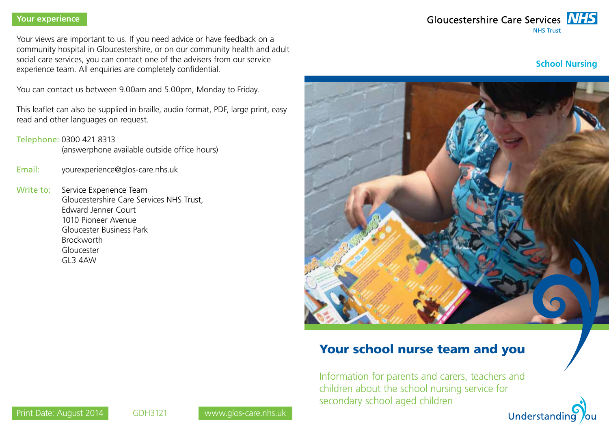#### **Your experience**

Your views are important to us. If you need advice or have feedback on a community hospital in Gloucestershire, or on our community health and adult social care services, you can contact one of the advisers from our service experience team. All enquiries are completely confidential.

You can contact us between 9.00am and 5.00pm, Monday to Friday.

This leaflet can also be supplied in braille, audio format, PDF, large print, easy read and other languages on request.

Telephone: 0300 421 8313

(answerphone available outside office hours)

- Email: yourexperience@glos-care.nhs.uk
- Write to: Service Experience Team Gloucestershire Care Services NHS Trust, Edward Jenner Court 1010 Pioneer Avenue Gloucester Business Park Brockworth Gloucester GL3 4AW



**School Nursing**



# Your school nurse team and you

Information for parents and carers, teachers and children about the school nursing service for secondary school aged children

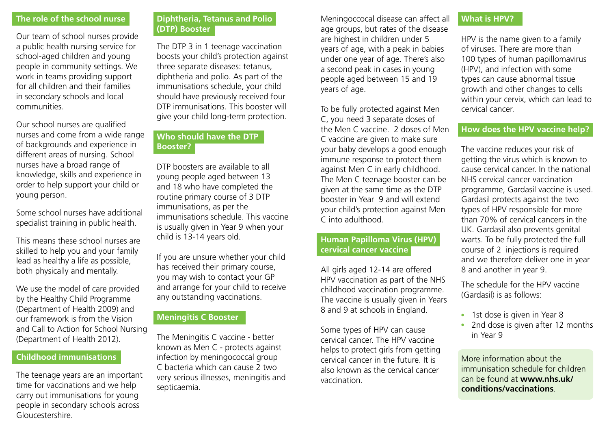#### **The role of the school nurse**

Our team of school nurses provide a public health nursing service for school-aged children and young people in community settings. We work in teams providing support for all children and their families in secondary schools and local communities.

Our school nurses are qualified nurses and come from a wide range of backgrounds and experience in different areas of nursing. School nurses have a broad range of knowledge, skills and experience in order to help support your child or young person.

Some school nurses have additional specialist training in public health.

This means these school nurses are skilled to help you and your family lead as healthy a life as possible, both physically and mentally.

We use the model of care provided by the Healthy Child Programme (Department of Health 2009) and our framework is from the Vision and Call to Action for School Nursing (Department of Health 2012).

# **Childhood immunisations**

The teenage years are an important time for vaccinations and we help carry out immunisations for young people in secondary schools across Gloucestershire.

## **Diphtheria, Tetanus and Polio (DTP) Booster**

The DTP 3 in 1 teenage vaccination boosts your child's protection against three separate diseases: tetanus, diphtheria and polio. As part of the immunisations schedule, your child should have previously received four DTP immunisations. This booster will give your child long-term protection.

# **Who should have the DTP Booster?**

DTP boosters are available to all young people aged between 13 and 18 who have completed the routine primary course of 3 DTP immunisations, as per the immunisations schedule. This vaccine is usually given in Year 9 when your child is 13-14 years old.

If you are unsure whether your child has received their primary course, you may wish to contact your GP and arrange for your child to receive any outstanding vaccinations.

#### **Meningitis C Booster**

The Meningitis C vaccine - better known as Men C - protects against infection by meningococcal group C bacteria which can cause 2 two very serious illnesses, meningitis and septicaemia.

Meningoccocal disease can affect all age groups, but rates of the disease are highest in children under 5 years of age, with a peak in babies under one year of age. There's also a second peak in cases in young people aged between 15 and 19 years of age.

To be fully protected against Men C, you need 3 separate doses of the Men C vaccine. 2 doses of Men C vaccine are given to make sure your baby develops a good enough immune response to protect them against Men C in early childhood. The Men C teenage booster can be given at the same time as the DTP booster in Year 9 and will extend your child's protection against Men C into adulthood.

#### **Human Papilloma Virus (HPV) cervical cancer vaccine**

All girls aged 12-14 are offered HPV vaccination as part of the NHS childhood vaccination programme. The vaccine is usually given in Years 8 and 9 at schools in England.

Some types of HPV can cause cervical cancer. The HPV vaccine helps to protect girls from getting cervical cancer in the future. It is also known as the cervical cancer vaccination.

## **What is HPV?**

HPV is the name given to a family of viruses. There are more than 100 types of human papillomavirus (HPV), and infection with some types can cause abnormal tissue growth and other changes to cells within your cervix, which can lead to cervical cancer.

#### **How does the HPV vaccine help?**

The vaccine reduces your risk of getting the virus which is known to cause cervical cancer. In the national NHS cervical cancer vaccination programme, Gardasil vaccine is used. Gardasil protects against the two types of HPV responsible for more than 70% of cervical cancers in the UK. Gardasil also prevents genital warts. To be fully protected the full course of 2 injections is required and we therefore deliver one in year 8 and another in year 9.

The schedule for the HPV vaccine (Gardasil) is as follows:

- $\cdot$  1st dose is given in Year 8
- 2nd dose is given after 12 months in Year 9

More information about the immunisation schedule for children can be found at **www.nhs.uk/ conditions/vaccinations**.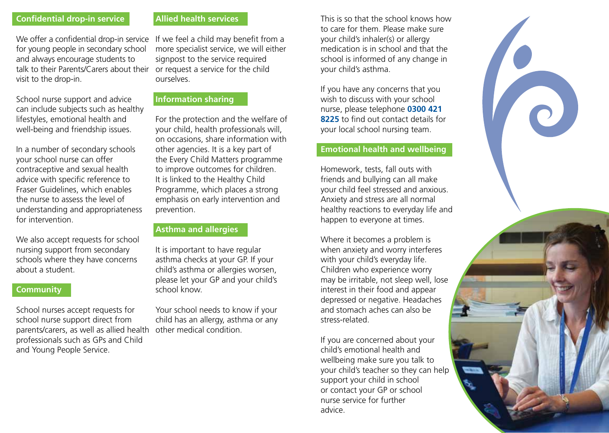## **Confidential drop-in service**

We offer a confidential drop-in service for young people in secondary school and always encourage students to talk to their Parents/Carers about their or request a service for the child visit to the drop-in.

School nurse support and advice can include subjects such as healthy lifestyles, emotional health and well-being and friendship issues.

In a number of secondary schools your school nurse can offer contraceptive and sexual health advice with specific reference to Fraser Guidelines, which enables the nurse to assess the level of understanding and appropriateness for intervention.

We also accept requests for school nursing support from secondary schools where they have concerns about a student.

#### **Community**

School nurses accept requests for school nurse support direct from parents/carers, as well as allied health professionals such as GPs and Child and Young People Service.

## **Allied health services**

If we feel a child may benefit from a more specialist service, we will either signpost to the service required ourselves.

#### **Information sharing**

For the protection and the welfare of your child, health professionals will, on occasions, share information with other agencies. It is a key part of the Every Child Matters programme to improve outcomes for children. It is linked to the Healthy Child Programme, which places a strong emphasis on early intervention and prevention.

#### **Asthma and allergies**

It is important to have regular asthma checks at your GP. If your child's asthma or allergies worsen, please let your GP and your child's school know.

Your school needs to know if your child has an allergy, asthma or any other medical condition.

This is so that the school knows how to care for them. Please make sure your child's inhaler(s) or allergy medication is in school and that the school is informed of any change in your child's asthma.

If you have any concerns that you wish to discuss with your school nurse, please telephone **0300 421 8225** to find out contact details for your local school nursing team.

#### **Emotional health and wellbeing**

Homework, tests, fall outs with friends and bullying can all make your child feel stressed and anxious. Anxiety and stress are all normal healthy reactions to everyday life and happen to everyone at times.

Where it becomes a problem is when anxiety and worry interferes with your child's everyday life. Children who experience worry may be irritable, not sleep well, lose interest in their food and appear depressed or negative. Headaches and stomach aches can also be stress-related.

If you are concerned about your child's emotional health and wellbeing make sure you talk to your child's teacher so they can help support your child in school or contact your GP or school nurse service for further advice.